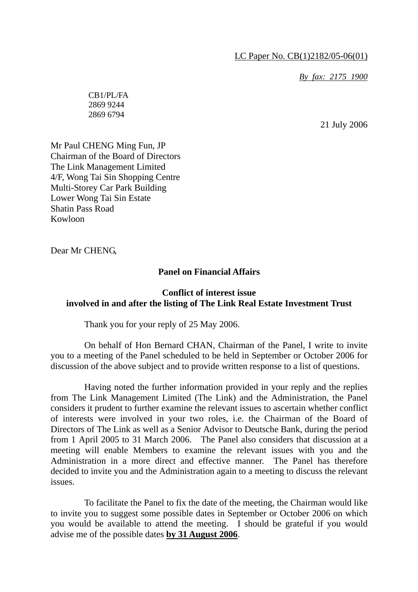LC Paper No. CB(1)2182/05-06(01)

*By fax: 2175 1900*

CB1/PL/FA 2869 9244 2869 6794

21 July 2006

Mr Paul CHENG Ming Fun, JP Chairman of the Board of Directors The Link Management Limited 4/F, Wong Tai Sin Shopping Centre Multi-Storey Car Park Building Lower Wong Tai Sin Estate Shatin Pass Road Kowloon

Dear Mr CHENG,

### **Panel on Financial Affairs**

## **Conflict of interest issue involved in and after the listing of The Link Real Estate Investment Trust**

Thank you for your reply of 25 May 2006.

 On behalf of Hon Bernard CHAN, Chairman of the Panel, I write to invite you to a meeting of the Panel scheduled to be held in September or October 2006 for discussion of the above subject and to provide written response to a list of questions.

 Having noted the further information provided in your reply and the replies from The Link Management Limited (The Link) and the Administration, the Panel considers it prudent to further examine the relevant issues to ascertain whether conflict of interests were involved in your two roles, i.e. the Chairman of the Board of Directors of The Link as well as a Senior Advisor to Deutsche Bank, during the period from 1 April 2005 to 31 March 2006. The Panel also considers that discussion at a meeting will enable Members to examine the relevant issues with you and the Administration in a more direct and effective manner. The Panel has therefore decided to invite you and the Administration again to a meeting to discuss the relevant issues.

 To facilitate the Panel to fix the date of the meeting, the Chairman would like to invite you to suggest some possible dates in September or October 2006 on which you would be available to attend the meeting. I should be grateful if you would advise me of the possible dates **by 31 August 2006**.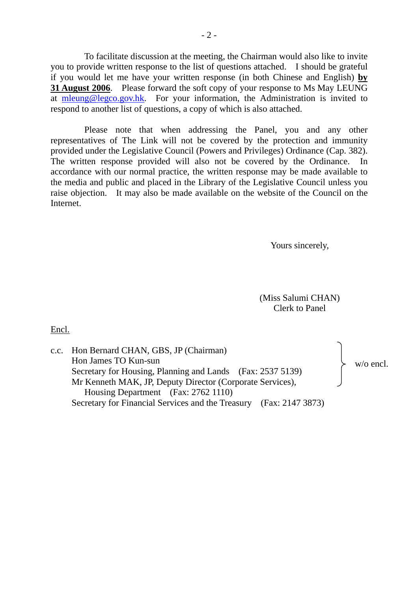To facilitate discussion at the meeting, the Chairman would also like to invite you to provide written response to the list of questions attached. I should be grateful if you would let me have your written response (in both Chinese and English) **by 31 August 2006**. Please forward the soft copy of your response to Ms May LEUNG at mleung@legco.gov.hk. For your information, the Administration is invited to respond to another list of questions, a copy of which is also attached.

 Please note that when addressing the Panel, you and any other representatives of The Link will not be covered by the protection and immunity provided under the Legislative Council (Powers and Privileges) Ordinance (Cap. 382). The written response provided will also not be covered by the Ordinance. In accordance with our normal practice, the written response may be made available to the media and public and placed in the Library of the Legislative Council unless you raise objection. It may also be made available on the website of the Council on the Internet.

Yours sincerely,

(Miss Salumi CHAN) Clerk to Panel

Encl.

| c.c. Hon Bernard CHAN, GBS, JP (Chairman)<br>Hon James TO Kun-sun  | $w$ /o encl. |
|--------------------------------------------------------------------|--------------|
| Secretary for Housing, Planning and Lands (Fax: 2537 5139)         |              |
| Mr Kenneth MAK, JP, Deputy Director (Corporate Services),          |              |
| Housing Department (Fax: 2762 1110)                                |              |
| Secretary for Financial Services and the Treasury (Fax: 2147 3873) |              |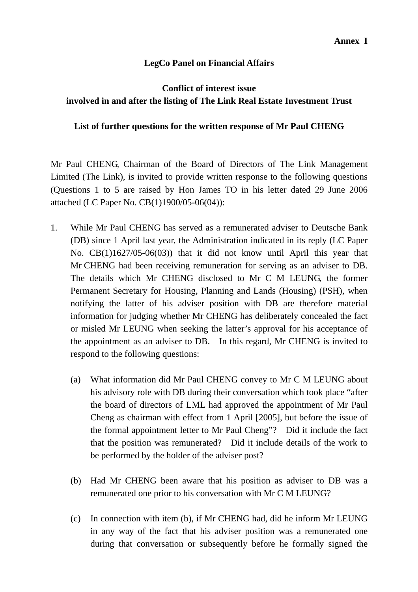## **LegCo Panel on Financial Affairs**

# **Conflict of interest issue involved in and after the listing of The Link Real Estate Investment Trust**

## **List of further questions for the written response of Mr Paul CHENG**

Mr Paul CHENG, Chairman of the Board of Directors of The Link Management Limited (The Link), is invited to provide written response to the following questions (Questions 1 to 5 are raised by Hon James TO in his letter dated 29 June 2006 attached (LC Paper No. CB(1)1900/05-06(04)):

- 1. While Mr Paul CHENG has served as a remunerated adviser to Deutsche Bank (DB) since 1 April last year, the Administration indicated in its reply (LC Paper No. CB(1)1627/05-06(03)) that it did not know until April this year that Mr CHENG had been receiving remuneration for serving as an adviser to DB. The details which Mr CHENG disclosed to Mr C M LEUNG, the former Permanent Secretary for Housing, Planning and Lands (Housing) (PSH), when notifying the latter of his adviser position with DB are therefore material information for judging whether Mr CHENG has deliberately concealed the fact or misled Mr LEUNG when seeking the latter's approval for his acceptance of the appointment as an adviser to DB. In this regard, Mr CHENG is invited to respond to the following questions:
	- (a) What information did Mr Paul CHENG convey to Mr C M LEUNG about his advisory role with DB during their conversation which took place "after the board of directors of LML had approved the appointment of Mr Paul Cheng as chairman with effect from 1 April [2005], but before the issue of the formal appointment letter to Mr Paul Cheng"? Did it include the fact that the position was remunerated? Did it include details of the work to be performed by the holder of the adviser post?
	- (b) Had Mr CHENG been aware that his position as adviser to DB was a remunerated one prior to his conversation with Mr C M LEUNG?
	- (c) In connection with item (b), if Mr CHENG had, did he inform Mr LEUNG in any way of the fact that his adviser position was a remunerated one during that conversation or subsequently before he formally signed the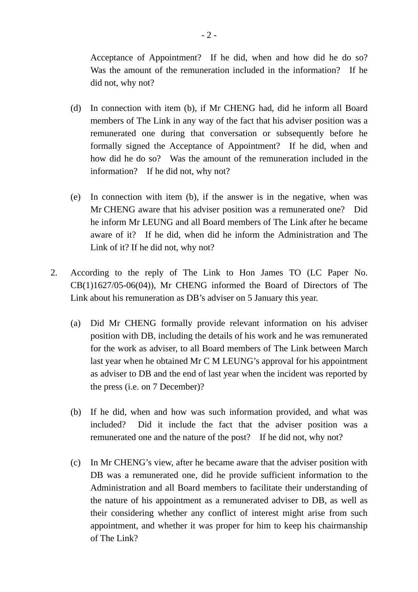Acceptance of Appointment? If he did, when and how did he do so? Was the amount of the remuneration included in the information? If he did not, why not?

- (d) In connection with item (b), if Mr CHENG had, did he inform all Board members of The Link in any way of the fact that his adviser position was a remunerated one during that conversation or subsequently before he formally signed the Acceptance of Appointment? If he did, when and how did he do so? Was the amount of the remuneration included in the information? If he did not, why not?
- (e) In connection with item (b), if the answer is in the negative, when was Mr CHENG aware that his adviser position was a remunerated one? Did he inform Mr LEUNG and all Board members of The Link after he became aware of it? If he did, when did he inform the Administration and The Link of it? If he did not, why not?
- 2. According to the reply of The Link to Hon James TO (LC Paper No. CB(1)1627/05-06(04)), Mr CHENG informed the Board of Directors of The Link about his remuneration as DB's adviser on 5 January this year.
	- (a) Did Mr CHENG formally provide relevant information on his adviser position with DB, including the details of his work and he was remunerated for the work as adviser, to all Board members of The Link between March last year when he obtained Mr C M LEUNG's approval for his appointment as adviser to DB and the end of last year when the incident was reported by the press (i.e. on 7 December)?
	- (b) If he did, when and how was such information provided, and what was included? Did it include the fact that the adviser position was a remunerated one and the nature of the post? If he did not, why not?
	- (c) In Mr CHENG's view, after he became aware that the adviser position with DB was a remunerated one, did he provide sufficient information to the Administration and all Board members to facilitate their understanding of the nature of his appointment as a remunerated adviser to DB, as well as their considering whether any conflict of interest might arise from such appointment, and whether it was proper for him to keep his chairmanship of The Link?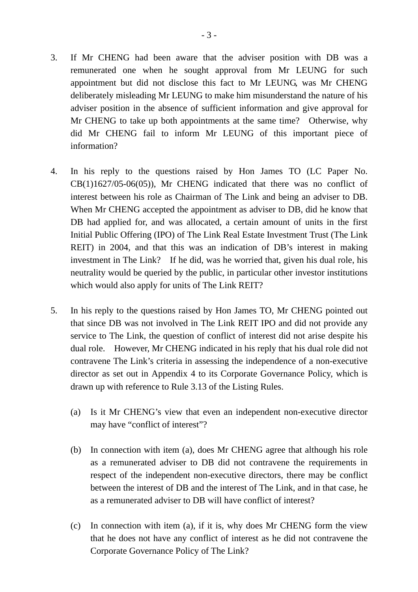- 3. If Mr CHENG had been aware that the adviser position with DB was a remunerated one when he sought approval from Mr LEUNG for such appointment but did not disclose this fact to Mr LEUNG, was Mr CHENG deliberately misleading Mr LEUNG to make him misunderstand the nature of his adviser position in the absence of sufficient information and give approval for Mr CHENG to take up both appointments at the same time? Otherwise, why did Mr CHENG fail to inform Mr LEUNG of this important piece of information?
- 4. In his reply to the questions raised by Hon James TO (LC Paper No. CB(1)1627/05-06(05)), Mr CHENG indicated that there was no conflict of interest between his role as Chairman of The Link and being an adviser to DB. When Mr CHENG accepted the appointment as adviser to DB, did he know that DB had applied for, and was allocated, a certain amount of units in the first Initial Public Offering (IPO) of The Link Real Estate Investment Trust (The Link REIT) in 2004, and that this was an indication of DB's interest in making investment in The Link? If he did, was he worried that, given his dual role, his neutrality would be queried by the public, in particular other investor institutions which would also apply for units of The Link REIT?
- 5. In his reply to the questions raised by Hon James TO, Mr CHENG pointed out that since DB was not involved in The Link REIT IPO and did not provide any service to The Link, the question of conflict of interest did not arise despite his dual role. However, Mr CHENG indicated in his reply that his dual role did not contravene The Link's criteria in assessing the independence of a non-executive director as set out in Appendix 4 to its Corporate Governance Policy, which is drawn up with reference to Rule 3.13 of the Listing Rules.
	- (a) Is it Mr CHENG's view that even an independent non-executive director may have "conflict of interest"?
	- (b) In connection with item (a), does Mr CHENG agree that although his role as a remunerated adviser to DB did not contravene the requirements in respect of the independent non-executive directors, there may be conflict between the interest of DB and the interest of The Link, and in that case, he as a remunerated adviser to DB will have conflict of interest?
	- (c) In connection with item (a), if it is, why does Mr CHENG form the view that he does not have any conflict of interest as he did not contravene the Corporate Governance Policy of The Link?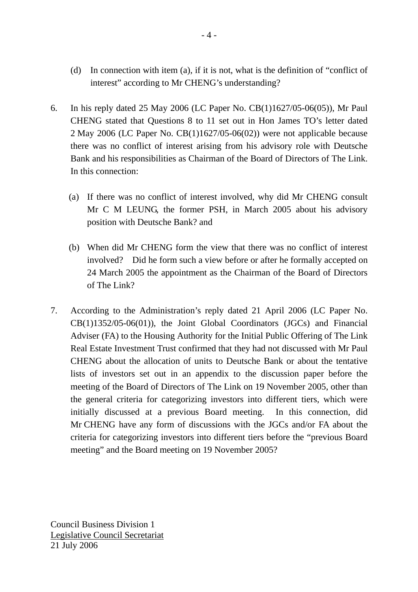- (d) In connection with item (a), if it is not, what is the definition of "conflict of interest" according to Mr CHENG's understanding?
- 6. In his reply dated 25 May 2006 (LC Paper No. CB(1)1627/05-06(05)), Mr Paul CHENG stated that Questions 8 to 11 set out in Hon James TO's letter dated 2 May 2006 (LC Paper No. CB(1)1627/05-06(02)) were not applicable because there was no conflict of interest arising from his advisory role with Deutsche Bank and his responsibilities as Chairman of the Board of Directors of The Link. In this connection:
	- (a) If there was no conflict of interest involved, why did Mr CHENG consult Mr C M LEUNG, the former PSH, in March 2005 about his advisory position with Deutsche Bank? and
	- (b) When did Mr CHENG form the view that there was no conflict of interest involved? Did he form such a view before or after he formally accepted on 24 March 2005 the appointment as the Chairman of the Board of Directors of The Link?
- 7. According to the Administration's reply dated 21 April 2006 (LC Paper No. CB(1)1352/05-06(01)), the Joint Global Coordinators (JGCs) and Financial Adviser (FA) to the Housing Authority for the Initial Public Offering of The Link Real Estate Investment Trust confirmed that they had not discussed with Mr Paul CHENG about the allocation of units to Deutsche Bank or about the tentative lists of investors set out in an appendix to the discussion paper before the meeting of the Board of Directors of The Link on 19 November 2005, other than the general criteria for categorizing investors into different tiers, which were initially discussed at a previous Board meeting. In this connection, did Mr CHENG have any form of discussions with the JGCs and/or FA about the criteria for categorizing investors into different tiers before the "previous Board meeting" and the Board meeting on 19 November 2005?

Council Business Division 1 Legislative Council Secretariat 21 July 2006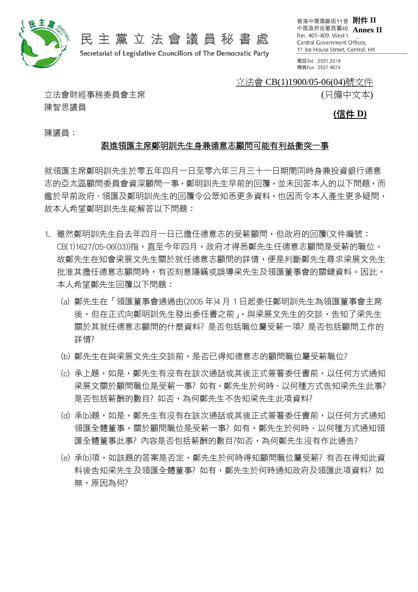

民主黨立法會議員秘書處

Secretariat of Legislative Councillors of The Democratic Party

香港中環雪廠街11號 附件 II 中區政府合署西翼40 Annex II Rm. 401-409, West \ Central Government Offices, 11 Ice House Street, Central, HK

電話Tel 2537 2319 傳真Fax 2537 4874

### 立法會 CB(1)1900/05-06(04)號文件

(只備中文本)

立法會財經事務委員會主席 陳智思議員

**(**信件 **D)**

陳議員:

### 跟進領匯主席鄭明訓先生身兼德意志顧問可能有利益衝突一事

就領匯主席鄭明訓先生於零五年四月一日至零六年三月三十一日期間同時身兼投資銀行德意 志的亞太區顧問委員會資深顧問一事,鄭明訓先生早前的回覆,並未回答本人的以下問題,而 鑑於早前政府、領匯及鄭明訓先生的回覆令公眾知悉更多資料,也因而令本人產生更多疑問, 故本人希望鄭明訓先生能解答以下問題:

- 1. 雖然鄭明訓先生自去年四月一日已擔任德意志的受薪顧問,但政府的回覆(文件編號: CB(1)1627/05-06(03))指,直至今年四月,政府才得悉鄭先生任德意志顧問是受薪的職位, 故鄭先生在知會梁展文先生關於就任德意志顧問的詳情,便是判斷鄭先生尋求梁展文先生 批准其擔任德意志顧問時,有否刻意隱瞞或誤導梁先生及領匯董事會的關鍵資料。因此, 本人希望鄭先生回覆以下問題:
	- (a) 鄭先生在「領匯董事會通過由(2005 年)4 月 1 日起委任鄭明訓先生為領匯董事會主席 後,但在正式向鄭明訓先生發出委任書之前」,與梁展文先生的交談,告知了梁先生 關於其就任德意志顧問的什麼資料? 是否包括職位屬受薪一項? 是否包括顧問工作的 詳情?
	- (b) 鄭先生在與梁展文先生交談前,是否已得知德意志的顧問職位屬受薪職位?
	- (c) 承上題,如是,鄭先生有沒有在該次通話或其後正式簽署委任書前,以任何方式通知 梁展文關於顧問職位是受薪一事?如有,鄭先生於何時、以何種方式告知梁先生此事? 是否包括薪酬的數目?如否,為何鄭先生不告知梁先生此項資料?
	- (d) 承(b)題,如是,鄭先生有沒有在該次通話或其後正式簽署委任書前,以任何方式通知 領匯全體董事,關於顧問職位是受薪一事? 如有,鄭先生於何時、以何種方式通知領 匯全體董事此事? 內容是否包括薪酬的數目?如否,為何鄭先生沒有作此通告?
	- (e) 承(b)項,如該題的答案是否定,鄭先生於何時得知顧問職位屬受薪? 有否在得知此資 料後告知梁先生及領匯全體董事? 如有,鄭先生於何時通知政府及領匯此項資料? 如 無,原因為何?